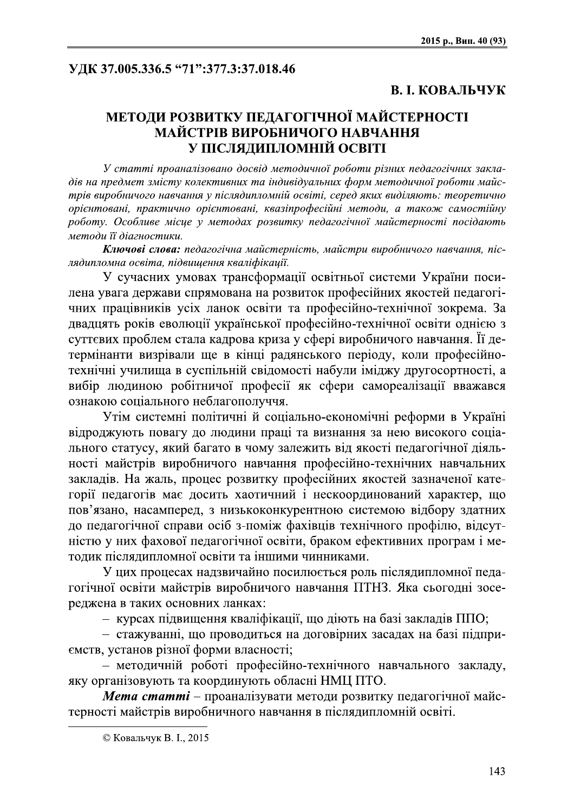# УДК *37.*005.336.5 "71":377.3:37.018.46

2015 р., Вип. 40 (93)<br>
УДК 37.005.336.5 "71":377.3:37.018.46<br>
В. І. КОВАЛЬЧУК<br>
МЕТОДИ РОЗВИТКУ ПЕДАГОГІЧНОЇ МАЙСТЕРНОСТІ<br>
МАЙСТРІВ ВИРОБНИЧОГО НАВЧАННЯ<br>
У ПІСЛЯДИПЛОМНІЙ ОСВІТІ<br>
У стати прозназіговано досвід методичної р

Ключові слова: педагогічна майстерність, майстри виробничого навчання, післядипломна освіта, підвищення кваліфікації.

У сучасних умовах трансформації освітньої системи України посилена увага держави спрямована на розвиток професійних якостей педагогічних працівників усіх ланок освіти та професійно-технічної зокрема. За двадцять років еволюції української професійно-технічної освіти однією з суттєвих проблем стала кадрова криза у сфері виробничого навчання. Її детермінанти визрівали ще в кінці радянського періоду, коли професійнотехнічні училища в суспільній свідомості набули іміджу другосортності, а вибір людиною робітничої професії як сфери самореалізації вважався ознакою соціального неблагополуччя.

Утім системні політичні й соціально-економічні реформи в Україні відроджують повагу до людини праці та визнання за нею високого соціального статусу, який багато в чому залежить від якості педагогічної діяльності майстрів виробничого навчання професійно-технічних навчальних закладів. На жаль, процес розвитку професійних якостей зазначеної категорії педагогів має досить хаотичний і нескоординований характер, що пов'язано, насамперед, з низькоконкурентною системою відбору здатних до педагогічної справи осіб з-поміж фахівців технічного профілю, відсутністю у них фахової педагогічної освіти, браком ефективних програм і методик післядипломної освіти та іншими чинниками.

У цих процесах надзвичайно посилюється роль післядипломної педагогічної освіти майстрів виробничого навчання ПТНЗ. Яка сьогодні зосереджена в таких основних ланках:

 $-$  курсах підвищення кваліфікації, що діють на базі закладів ППО;

 $\alpha$  - стажуванні, що проводиться на договірних засадах на базі підприемств, установ різної форми власності;

 $-$  методичній роботі професійно-технічного навчального закладу, яку організовують та координують обласні НМЦ ПТО.

**Mema cmammi** - проаналізувати методи розвитку педагогічної майстерності майстрів виробничного навчання в післядипломній освіті.

 $\alpha$  constraints and  $\alpha$  constraints are constraints and  $\alpha$  $\odot$  Ковальчук В. I., 2015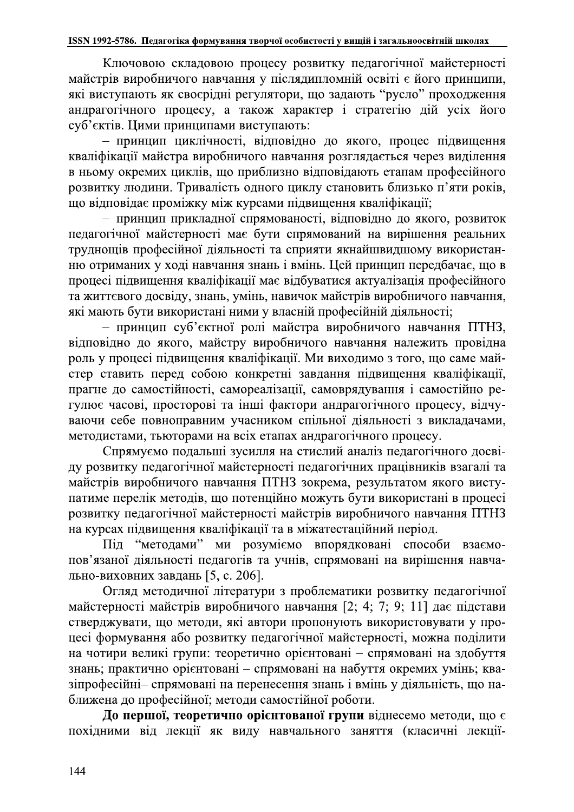6. Педагогіка формування творчої особистості у вищій і загальноосвітній школах<br>човою складовою процесу розвитку педагогічної майстерності<br>иробничого навчання у післядипломній освіті є його принципи,<br>ають як своєрідні регу Ключовою складовою процесу розвитку педагогічної майстерності майстрів виробничого навчання у післядипломній освіті є його принципи, які виступають як своєрідні регулятори, що задають "русло" проходження андрагогічного процесу, а також характер і стратегію дій усіх його суб'єктів. Цими принципами виступають:

- принцип циклічності, відповідно до якого, процес підвищення кваліфікації майстра виробничого навчання розглядається через виділення в ньому окремих циклів, що приблизно відповідають етапам професійного розвитку людини. Тривалість одного циклу становить близько п'яти років, що відповідає проміжку між курсами підвищення кваліфікації;

- принцип прикладної спрямованості, відповідно до якого, розвиток педагогічної майстерності має бути спрямований на вирішення реальних труднощів професійної діяльності та сприяти якнайшвидшому використанню отриманих у ході навчання знань і вмінь. Цей принцип передбачає, що в процесі підвищення кваліфікації має відбуватися актуалізація професійного та життєвого досвіду, знань, умінь, навичок майстрів виробничого навчання, які мають бути використані ними у власній професійній діяльності;

- принцип суб'єктної ролі майстра виробничого навчання ПТНЗ, відповідно до якого, майстру виробничого навчання належить провідна роль у процесі підвищення кваліфікації. Ми виходимо з того, що саме майстер ставить перед собою конкретні завдання підвищення кваліфікації, прагне до самостійності, самореалізації, самоврядування і самостійно регулює часові, просторові та інші фактори андрагогічного процесу, відчуваючи себе повноправним учасником спільної діяльності з викладачами, методистами, тьюторами на всіх етапах андрагогічного процесу.

Спрямуємо подальші зусилля на стислий аналіз педагогічного досвіду розвитку педагогічної майстерності педагогічних працівників взагалі та майстрів виробничого навчання ПТНЗ зокрема, результатом якого виступатиме перелік методів, що потенційно можуть бути використані в процесі розвитку педагогічної майстерності майстрів виробничого навчання ПТНЗ на курсах підвищення кваліфікації та в міжатестаційний період.

Під "методами" ми розуміємо впорядковані способи взаємопов'язаної діяльності педагогів та учнів, спрямовані на вирішення навчально-виховних завдань [5, с. 206].

Огляд методичної літератури з проблематики розвитку педагогічної майстерності майстрів виробничого навчання [2; 4; 7; 9; 11] дає підстави стверджувати, що методи, які автори пропонують використовувати у процесі формування або розвитку педагогічної майстерності, можна поділити на чотири великі групи: теоретично орієнтовані - спрямовані на здобуття знань; практично орієнтовані - спрямовані на набуття окремих умінь; квазіпрофесійні- спрямовані на перенесення знань і вмінь у діяльність, що на-<br>ближена до професійної; методи самостійної роботи. Огляд методичної літератури з проблематики розвитку педагогічної майстерності майстрів виробничого навчання [2; 4; 7; 9; 11] дає підстави стверджувати, що методи, які автори пропонують використовувати у процесі формування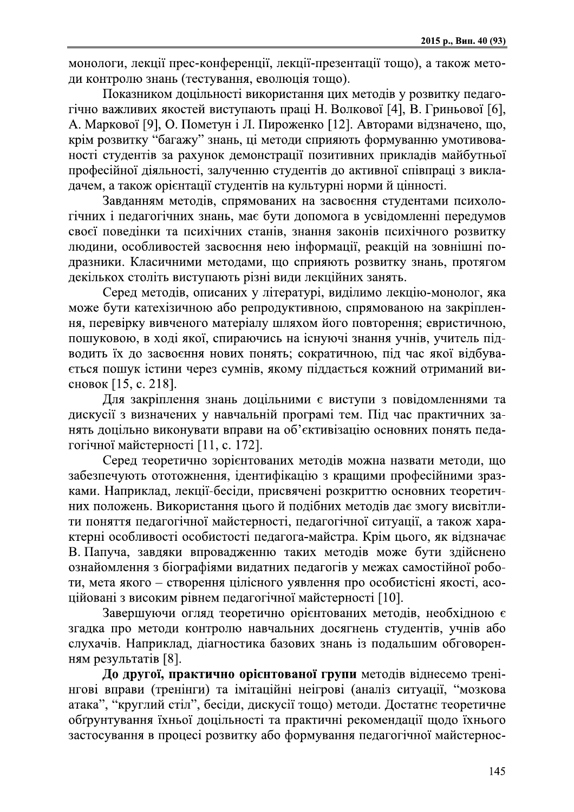монологи, лекції прес-конференції, лекції-презентації тощо), а також методи контролю знань (тестування, еволюція тощо).

Показником доцільності використання цих методів у розвитку педагогічно важливих якостей виступають праці Н. Волкової [4], В. Гриньової [6], А. Маркової [9], О. Пометун і Л. Пироженко [12]. Авторами відзначено, що, крім розвитку "багажу" знань, ці методи сприяють формуванню умотивованості студентів за рахунок демонстрації позитивних прикладів майбутньої професійної діяльності, залученню студентів до активної співпраці з викладачем, а також орієнтації студентів на культурні норми й цінності.

Завданням методів, спрямованих на засвоєння студентами психологічних і педагогічних знань, має бути допомога в усвідомленні передумов своєї поведінки та психічних станів, знання законів психічного розвитку людини, особливостей засвоєння нею інформації, реакцій на зовнішні подразники. Класичними методами, що сприяють розвитку знань, протягом декількох століть виступають різні види лекційних занять.

Серед методів, описаних у літературі, виділимо лекцію-монолог, яка може бути катехізичною або репродуктивною, спрямованою на закріплення, перевірку вивченого матеріалу шляхом його повторення; евристичною, пошуковою, в ході якої, спираючись на існуючі знання учнів, учитель підводить їх до засвоєння нових понять; сократичною, під час якої відбувається пошук істини через сумнів, якому піддається кожний отриманий висновок [15, с. 218].

Для закріплення знань доцільними є виступи з повідомленнями та дискусії з визначених у навчальній програмі тем. Під час практичних занять доцільно виконувати вправи на об'єктивізацію основних понять педагогічної майстерності [11, с. 172].

Серед теоретично зорієнтованих методів можна назвати методи, що забезпечують ототожнення, ідентифікацію з кращими професійними зразками. Наприклад, лекції-бесіди, присвячені розкриттю основних теоретичних положень. Використання цього й подібних методів дає змогу висвітлити поняття педагогічної майстерності, педагогічної ситуації, а також характерні особливості особистості педагога-майстра. Крім цього, як відзначає В. Папуча, завдяки впровадженню таких методів може бути здійснено ознайомлення з біографіями видатних педагогів у межах самостійної роботи, мета якого - створення цілісного уявлення про особистісні якості, асоційовані з високим рівнем педагогічної майстерності [10].

Завершуючи огляд теоретично орієнтованих методів, необхідною є згадка про методи контролю навчальних досягнень студентів, учнів або слухачів. Наприклад, діагностика базових знань із подальшим обговоренням результатів [8].

До другої, практично орієнтованої групи методів віднесемо тренінгові вправи (тренінги) та імітаційні неігрові (аналіз ситуації, "мозкова атака", "круглий стіл", бесіди, дискусії тощо) методи. Достатнє теоретичне обгрунтування їхньої доцільності та практичні рекомендації щодо їхнього застосування в процесі розвитку або формування педагогічної майстернос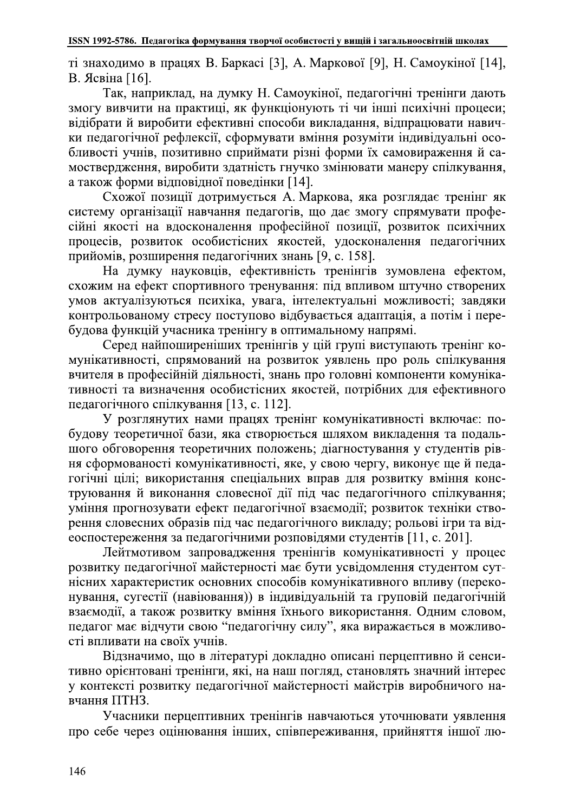ті знаходимо в працях В. Баркасі [3], А. Маркової [9], Н. Самоукіної [14], В. Ясвіна [16].

6. Педагогіка формування творчої особистості у вищій і загальноосвітній школах<br>мо в працях В. Баркасі [3], А. Маркової [9], Н. Самоукіної [14],<br>16].<br>наприклад, на думку Н. Самоукіної, педагогічні тренінги дають<br>ити на пра Так, наприклад, на думку Н. Самоукіної, педагогічні тренінги дають змогу вивчити на практиці, як функціонують ті чи інші психічні процеси; відібрати й виробити ефективні способи викладання, відпрацювати навички педагогічної рефлексії, сформувати вміння розуміти індивідуальні особливості учнів, позитивно сприймати різні форми їх самовираження й самоствердження, виробити здатність гнучко змінювати манеру спілкування, а також форми відповідної поведінки [14].

Схожої позиції дотримується А. Маркова, яка розглядає тренінг як систему організації навчання педагогів, що дає змогу спрямувати професійні якості на вдосконалення професійної позиції, розвиток психічних процесів, розвиток особистісних якостей, удосконалення педагогічних прийомів, розширення педагогічних знань [9, с. 158].

На думку науковців, ефективність тренінгів зумовлена ефектом, схожим на ефект спортивного тренування: під впливом штучно створених умов актуалізуються психіка, увага, інтелектуальні можливості; завдяки контрольованому стресу поступово відбувається адаптація, а потім і перебудова функцій учасника тренінгу в оптимальному напрямі.

Серед найпоширеніших тренінгів у цій групі виступають тренінг комунікативності, спрямований на розвиток уявлень про роль спілкування вчителя в професійній діяльності, знань про головні компоненти комунікативності та визначення особистісних якостей, потрібних для ефективного педагогічного спілкування [13, с. 112].

У розглянутих нами працях тренінг комунікативності включає: побудову теоретичної бази, яка створюється шляхом викладення та подальшого обговорення теоретичних положень; діагностування у студентів рівня сформованості комунікативності, яке, у свою чергу, виконує ще й педагогічні цілі; використання спеціальних вправ для розвитку вміння конструювання й виконання словесної дії під час педагогічного спілкування; уміння прогнозувати ефект педагогічної взаємодії; розвиток техніки створення словесних образів під час педагогічного викладу; рольові ігри та відеоспостереження за педагогічними розповідями студентів [11, с. 201].

Лейтмотивом запровадження тренінгів комунікативності у процес розвитку педагогічної майстерності має бути усвідомлення студентом сутнісних характеристик основних способів комунікативного впливу (переконування, сугестії (навіювання)) в індивідуальній та груповій педагогічній взаємодії, а також розвитку вміння їхнього використання. Одним словом, педагог має відчути свою "педагогічну силу", яка виражається в можливості впливати на своїх учнів.

Відзначимо, що в літературі докладно описані перцептивно й сенситивно орієнтовані тренінги, які, на наш погляд, становлять значний інтерес у контексті розвитку педагогічної майстерності майстрів виробничого навчання ПТНЗ.

Учасники перцептивних тренінгів навчаються уточнювати уявлення про себе через оцінювання інших, співпереживання, прийняття іншої лю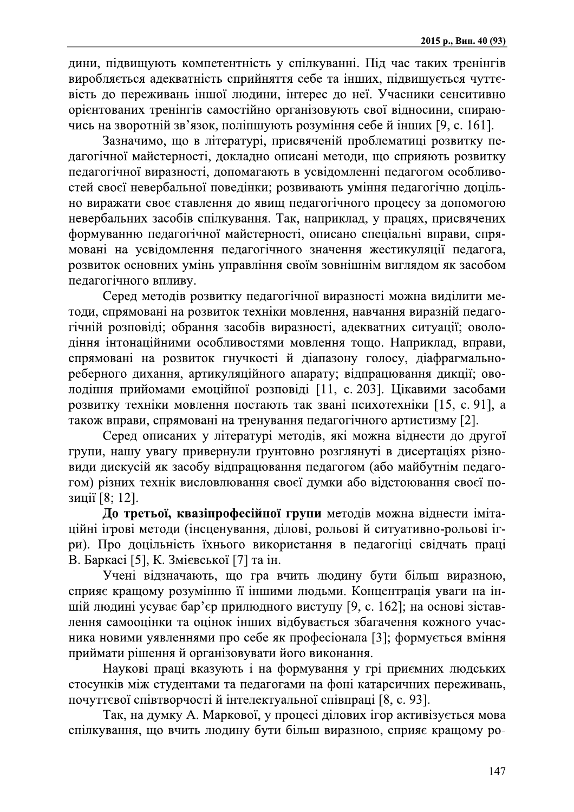дини, підвищують компетентність у спілкуванні. Під час таких тренінгів виробляється адекватність сприйняття себе та інших, підвищується чуттєвість до переживань іншої людини, інтерес до неї. Учасники сенситивно орієнтованих тренінгів самостійно організовують свої відносини, спираючись на зворотній зв'язок, поліпшують розуміння себе й інших [9, с. 161].

Зазначимо, що в літературі, присвяченій проблематиці розвитку педагогічної майстерності, докладно описані методи, що сприяють розвитку педагогічної виразності, допомагають в усвідомленні педагогом особливостей своєї невербальної поведінки; розвивають уміння педагогічно доцільно виражати своє ставлення до явищ педагогічного процесу за допомогою невербальних засобів спілкування. Так, наприклад, у працях, присвячених формуванню педагогічної майстерності, описано спеціальні вправи, спрямовані на усвідомлення педагогічного значення жестикуляції педагога, розвиток основних умінь управління своїм зовнішнім виглядом як засобом педагогічного впливу.

Серед методів розвитку педагогічної виразності можна виділити методи, спрямовані на розвиток техніки мовлення, навчання виразній педагогічній розповіді; обрання засобів виразності, адекватних ситуації; оволодіння інтонаційними особливостями мовлення тощо. Наприклад, вправи, спрямовані на розвиток гнучкості й діапазону голосу, діафрагмальнореберного дихання, артикуляційного апарату; відпрацювання дикції; оволодіння прийомами емоційної розповіді [11, с. 203]. Цікавими засобами розвитку техніки мовлення постають так звані психотехніки [15, с. 91], а також вправи, спрямовані на тренування педагогічного артистизму [2].

Серед описаних у літературі методів, які можна віднести до другої групи, нашу увагу привернули ґрунтовно розглянуті в дисертаціях різновиди дискусій як засобу відпрацювання педагогом (або майбутнім педагогом) різних технік висловлювання своєї думки або відстоювання своєї позиції [8; 12].

До третьої, квазіпрофесійної групи методів можна віднести імітаційні ігрові методи (інсценування, ділові, рольові й ситуативно-рольові ігри). Про доцільність їхнього використання в педагогіці свідчать праці В. Баркасі [5], К. Змієвської [7] та ін.

Учені відзначають, що гра вчить людину бути більш виразною, сприяє кращому розумінню її іншими людьми. Концентрація уваги на іншій людині усуває бар'єр прилюдного виступу [9, с. 162]; на основі зіставлення самооцінки та оцінок інших відбувається збагачення кожного учасника новими уявленнями про себе як професіонала [3]; формується вміння приймати рішення й організовувати його виконання.

Наукові праці вказують і на формування у грі приємних людських стосунків між студентами та педагогами на фоні катарсичних переживань, почуттєвої співтворчості й інтелектуальної співпраці [8, с. 93].

Так, на думку А. Маркової, у процесі ділових ігор активізується мова спілкування, що вчить людину бути більш виразною, сприяє кращому ро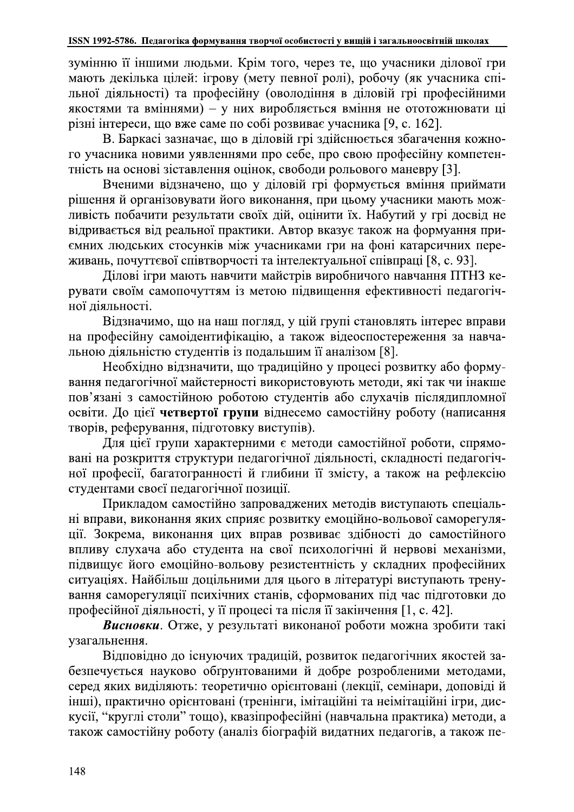зумінню її іншими людьми. Крім того, через те, що учасники ділової гри мають декілька цілей: ігрову (мету певної ролі), робочу (як учасника спільної діяльності) та професійну (оволодіння в діловій грі професійними якостями та вміннями) - у них виробляється вміння не ототожнювати ці різні інтереси, що вже саме по собі розвиває учасника [9, с. 162].

В. Баркасі зазначає, що в діловій грі здійснюється збагачення кожного учасника новими уявленнями про себе, про свою професійну компетентність на основі зіставлення оцінок, свободи рольового маневру [3].

Вченими відзначено, що у діловій грі формується вміння приймати рішення й організовувати його виконання, при цьому учасники мають можливість побачити результати своїх дій, оцінити їх. Набутий у грі досвід не відривається від реальної практики. Автор вказує також на формуання приємних людських стосунків між учасниками гри на фоні катарсичних переживань, почуттєвої співтворчості та інтелектуальної співпраці [8, с. 93].

Ділові ігри мають навчити майстрів виробничого навчання ПТНЗ керувати своїм самопочуттям із метою підвищення ефективності педагогічної діяльності.

Відзначимо, що на наш погляд, у цій групі становлять інтерес вправи на професійну самоідентифікацію, а також відеоспостереження за навчальною діяльністю студентів із подальшим її аналізом [8].

Необхідно відзначити, що традиційно у процесі розвитку або формування педагогічної майстерності використовують методи, які так чи інакше пов'язані з самостійною роботою студентів або слухачів післядипломної освіти. До цієї четвертої групи віднесемо самостійну роботу (написання творів, реферування, підготовку виступів).

Для цієї групи характерними є методи самостійної роботи, спрямовані на розкриття структури педагогічної діяльності, складності педагогічної професії, багатогранності й глибини її змісту, а також на рефлексію студентами своєї педагогічної позиції.

Прикладом самостійно запроваджених методів виступають спеціальні вправи, виконання яких сприяє розвитку емоційно-вольової саморегуляції. Зокрема, виконання цих вправ розвиває здібності до самостійного впливу слухача або студента на свої психологічні й нервові механізми, підвищує його емоційно-вольову резистентність у складних професійних ситуаціях. Найбільш доцільними для цього в літературі виступають тренування саморегуляції психічних станів, сформованих під час підготовки до професійної діяльності, у її процесі та після її закінчення [1, с. 42].

Висновки. Отже, у результаті виконаної роботи можна зробити такі узагальнення.

Відповідно до існуючих традицій, розвиток педагогічних якостей забезпечується науково обгрунтованими й добре розробленими методами, серед яких виділяють: теоретично орієнтовані (лекції, семінари, доповіді й інші), практично орієнтовані (тренінги, імітаційні та неімітаційні ігри, дискусії, "круглі столи" тощо), квазіпрофесійні (навчальна практика) методи, а також самостійну роботу (аналіз біографій видатних педагогів, а також пе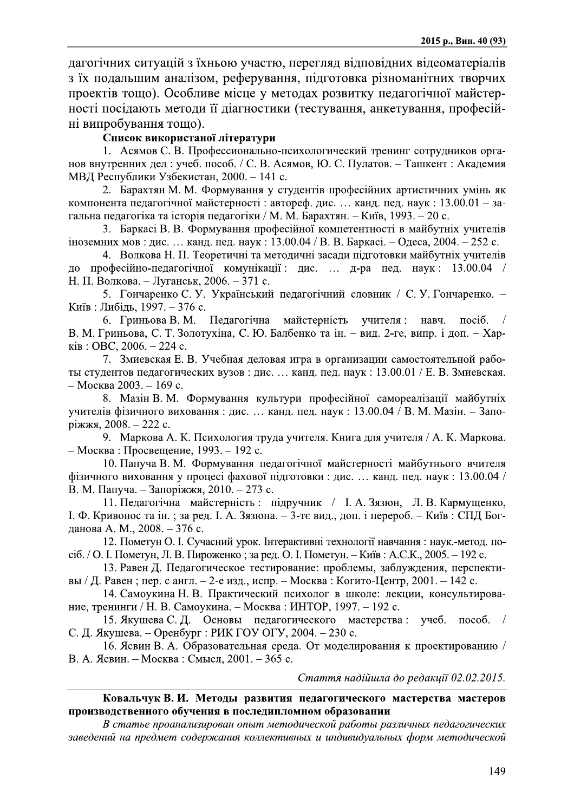дагогічних ситуацій з їхньою участю, перегляд відповідних відеоматеріалів з їх подальшим аналізом, реферування, підготовка різноманітних творчих проектів тощо). Особливе місце у методах розвитку педагогічної майстерності посідають методи її діагностики (тестування, анкетування, професійні випробування тошо).

## Список використаної літератури

1. Асямов С. В. Профессионально-психологический тренинг сотрудников органов внутренних дел: учеб. пособ. / С. В. Асямов, Ю. С. Пулатов. - Ташкент: Академия МВД Республики Узбекистан, 2000. - 141 с.

2. Барахтян М. М. Формування у студентів професійних артистичних умінь як компонента педагогічної майстерності: автореф. дис. ... канд. пед. наук: 13.00.01 - загальна педагогіка та історія педагогіки / М. М. Барахтян. – Київ, 1993. – 20 с.

3. Баркасі В. В. Формування професійної компетентності в майбутніх учителів іноземних мов : дис. ... канд. пед. наук : 13.00.04 / В. В. Баркасі. – Одеса, 2004. – 252 с.

4. Волкова Н. П. Теоретичні та методичні засади підготовки майбутніх учителів до професійно-педагогічної комунікації: дис. ... д-ра пед. наук: 13.00.04 Н. П. Волкова. - Луганськ, 2006. - 371 с.

5. Гончаренко С. У. Український педагогічний словник / С. У. Гончаренко. -Київ: Либідь, 1997. – 376 с.

6. Гриньова В. М. Педагогічна майстерність учителя: навч. посіб. В. М. Гриньова, С. Т. Золотухіна, С. Ю. Балбенко та ін. – вид. 2-ге, випр. і доп. – Харків: ОВС, 2006. - 224 с.

7. Змиевская Е. В. Учебная деловая игра в организации самостоятельной работы студентов педагогических вузов: дис. ... канд. пед. наук: 13.00.01 / Е. В. Змиевская. – Москва 2003. – 169 с.

8. Мазін В. М. Формування культури професійної самореалізації майбутніх учителів фізичного виховання: дис. ... канд. пед. наук: 13.00.04 / В. М. Мазін. - Запоріжжя, 2008. – 222 с.

9. Маркова А. К. Психология труда учителя. Книга для учителя / А. К. Маркова. – Москва: Просвещение, 1993. – 192 с.

10. Папуча В. М. Формування педагогічної майстерності майбутнього вчителя фізичного виховання у процесі фахової підготовки: дис. ... канд. пед. наук: 13.00.04 / В. М. Папуча. - Запоріжжя, 2010. - 273 с.

11. Педагогічна майстерність: підручник / І. А. Зязюн, Л. В. Кармущенко, І. Ф. Кривонос та ін.; за ред. І. А. Зязюна. – 3-тє вид., доп. і перероб. – Київ: СПД Богданова А. М., 2008. - 376 с.

12. Пометун О. І. Сучасний урок. Інтерактивні технології навчання: наук.-метод. посіб. / О. І. Пометун, Л. В. Пироженко; за ред. О. І. Пометун. – Київ: А.С.К., 2005. – 192 с.

13. Равен Д. Педагогическое тестирование: проблемы, заблуждения, перспективы / Д. Равен; пер. с англ. – 2-е изд., испр. – Москва: Когито-Центр, 2001. – 142 с.

14. Самоукина Н. В. Практический психолог в школе: лекции, консультирование, тренинги / Н. В. Самоукина. – Москва: ИНТОР, 1997. – 192 с.

15. Якушева С. Д. Основы педагогического мастерства: учеб. пособ. / С. Д. Якушева. – Оренбург : РИК ГОУ ОГУ, 2004. – 230 с.

16. Ясвин В. А. Образовательная среда. От моделирования к проектированию / В. А. Ясвин. - Москва: Смысл, 2001. - 365 с.

Стаття надійшла до редакції 02.02.2015.

### Ковальчук В. И. Методы развития педагогического мастерства мастеров производственного обучения в последипломном образовании

В статье проанализирован опыт методической работы различных педагогических заведений на предмет содержания коллективных и индивидуальных форм методической